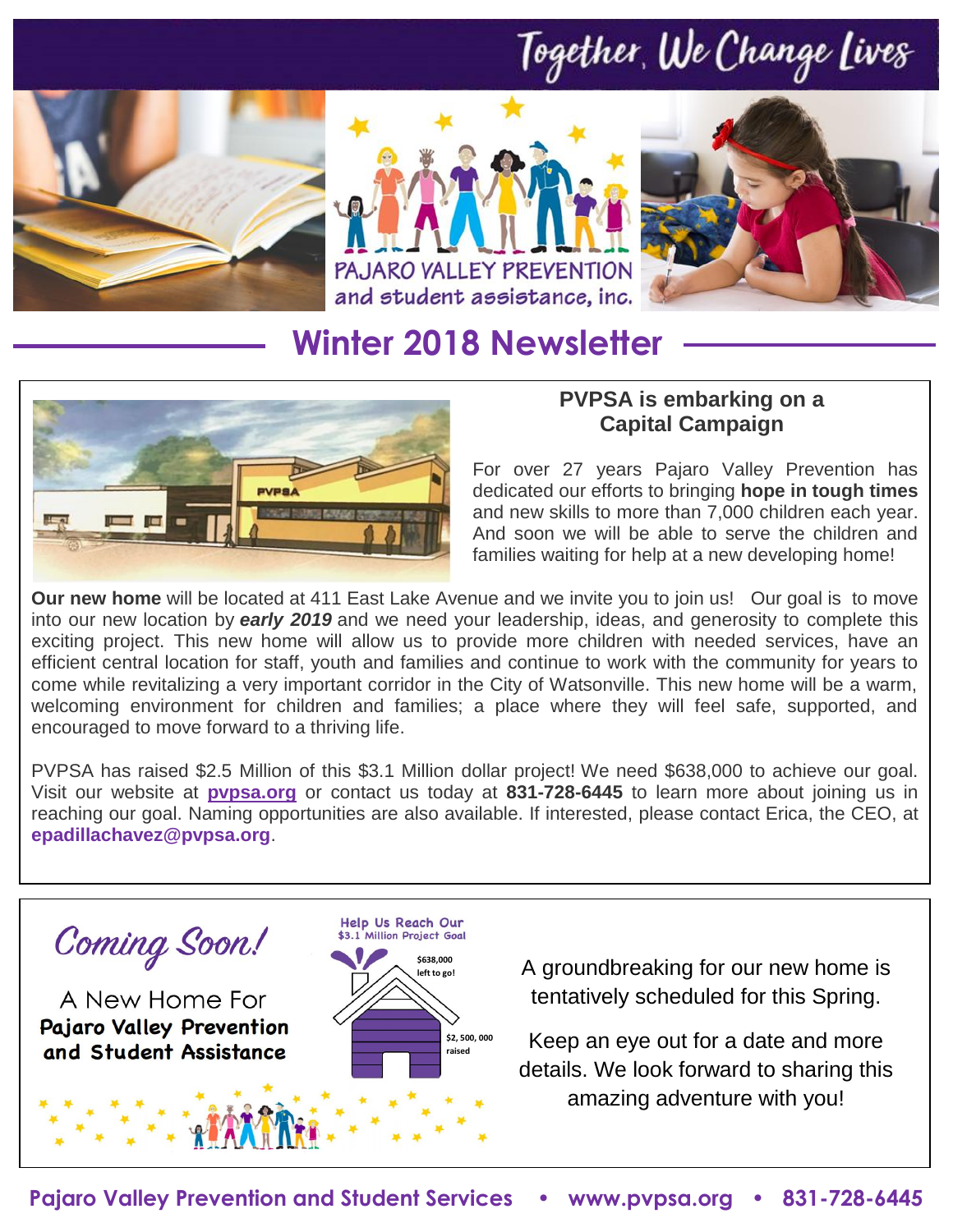## Together, We Change Lives







## **Winter 2018 Newsletter**



#### **PVPSA is embarking on a Capital Campaign**

For over 27 years Pajaro Valley Prevention has dedicated our efforts to bringing **hope in tough times**  and new skills to more than 7,000 children each year. And soon we will be able to serve the children and families waiting for help at a new developing home!

**Our new home** will be located at 411 East Lake Avenue and we invite you to join us! Our goal is to move into our new location by *early 2019* and we need your leadership, ideas, and generosity to complete this exciting project. This new home will allow us to provide more children with needed services, have an efficient central location for staff, youth and families and continue to work with the community for years to come while revitalizing a very important corridor in the City of Watsonville. This new home will be a warm, welcoming environment for children and families; a place where they will feel safe, supported, and encouraged to move forward to a thriving life.

PVPSA has raised \$2.5 Million of this \$3.1 Million dollar project! We need \$638,000 to achieve our goal. Visit our website at **[pvpsa.org](http://www.pvpsa.org/)** or contact us today at **831-728-6445** to learn more about joining us in reaching our goal. Naming opportunities are also available. If interested, please contact Erica, the CEO, at **[epadillachavez@pvpsa.org](mailto:epadillachavez@pvpsa.org)**.

Coming Soon!

A New Home For **Pajaro Valley Prevention** and Student Assistance



A groundbreaking for our new home is tentatively scheduled for this Spring.

Keep an eye out for a date and more details. We look forward to sharing this amazing adventure with you!